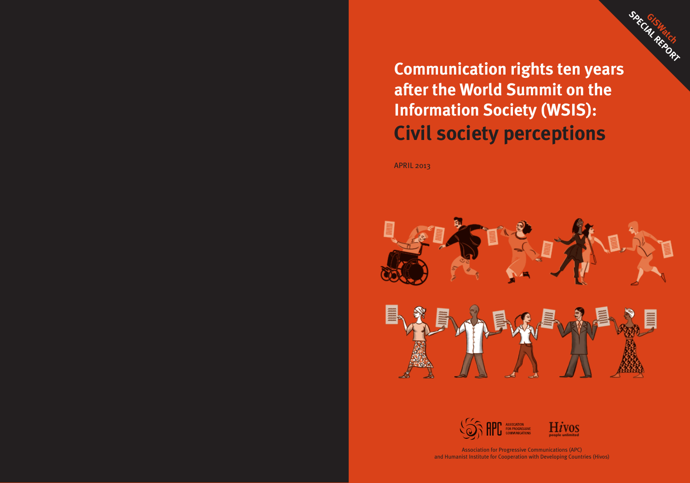

# **Communication rights ten years after the World Summit on the Information Society (WSIS): Civil society perceptions**

**APRIL 2013** 







Association for Progressive Communications (APC) and Humanist Institute for Cooperation with Developing Countries (Hivos)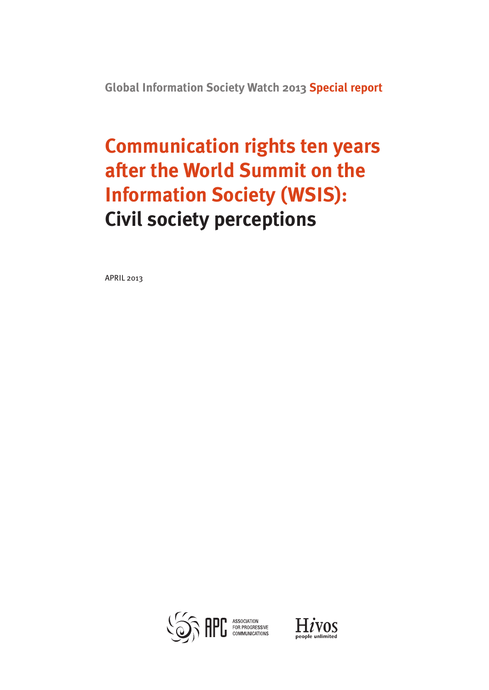**Global Information Society Watch 2013 Special report**

# **Communication rights ten years after the World Summit on the Information Society (WSIS): Civil society perceptions**

april 2013



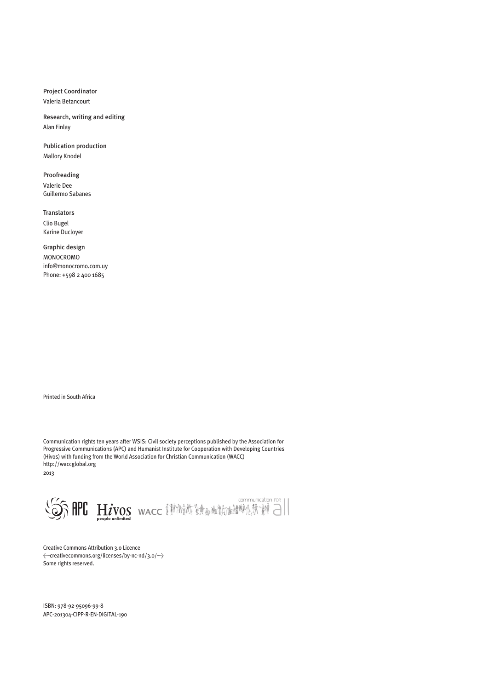Project Coordinator

Valeria Betancourt

Research, writing and editing Alan Finlay

Publication production Mallory Knodel

Proofreading Valerie Dee Guillermo Sabanes

Translators Clio Bugel Karine Ducloyer

Graphic design MONOCROMO info@monocromo.com.uy Phone: +598 2 400 1685

Printed in South Africa

Communication rights ten years after WSIS: Civil society perceptions published by the Association for Progressive Communications (APC) and Humanist Institute for Cooperation with Developing Countries (Hivos) with funding from the World Association for Christian Communication (WACC) http://waccglobal.org 2013



Creative Commons Attribution 3.0 Licence  $\langle$  -creative<br>commons.org/licenses/by-nc-nd/3.0/  $\rightarrow$ Some rights reserved.

ISBN: 978-92-95096-99-8 APC-201304-CIPP-R-EN-DIGITAL-190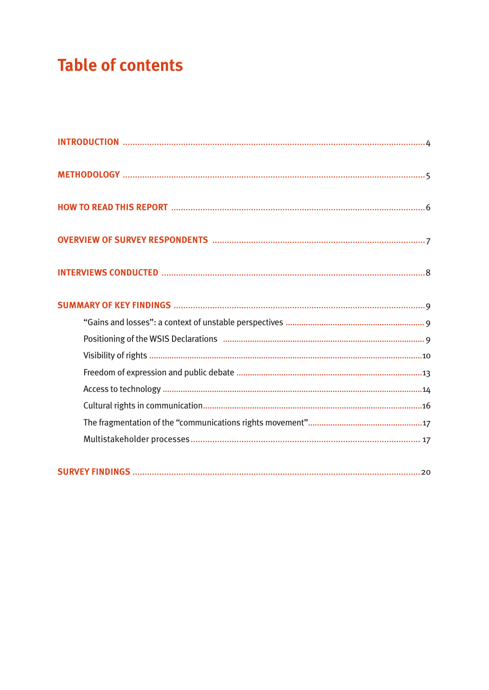# **Table of contents**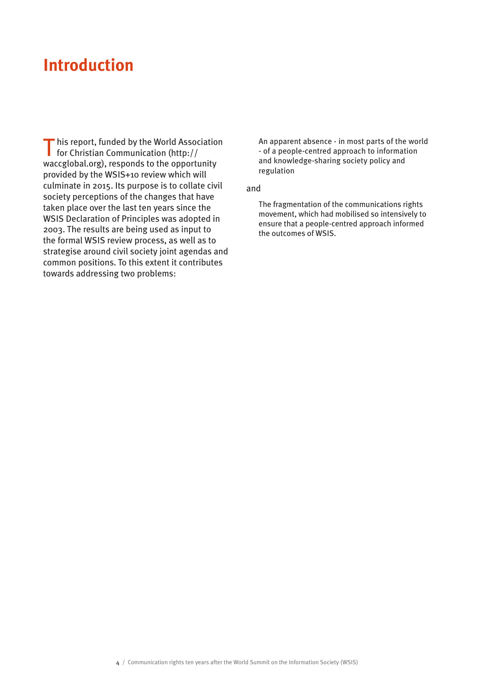## **Introduction**

T his report, funded by the World Association for Christian Communication (http:// waccglobal.org), responds to the opportunity provided by the WSIS+10 review which will culminate in 2015. Its purpose is to collate civil society perceptions of the changes that have taken place over the last ten years since the WSIS Declaration of Principles was adopted in 2003. The results are being used as input to the formal WSIS review process, as well as to strategise around civil society joint agendas and common positions. To this extent it contributes towards addressing two problems:

An apparent absence - in most parts of the world - of a people-centred approach to information and knowledge-sharing society policy and regulation

#### and

The fragmentation of the communications rights movement, which had mobilised so intensively to ensure that a people-centred approach informed the outcomes of WSIS.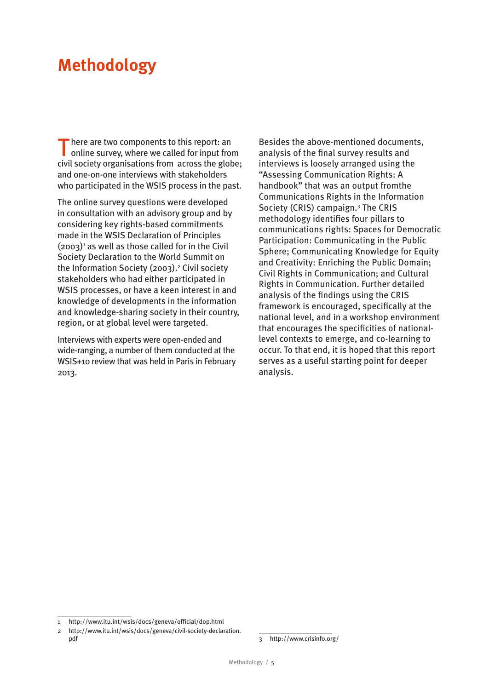# **Methodology**

There are two components to this report: an online survey, where we called for input from civil society organisations from across the globe; and one-on-one interviews with stakeholders who participated in the WSIS process in the past.

The online survey questions were developed in consultation with an advisory group and by considering key rights-based commitments made in the WSIS Declaration of Principles  $(2003)<sup>1</sup>$  as well as those called for in the Civil Society Declaration to the World Summit on the Information Society (2003).<sup>2</sup> Civil society stakeholders who had either participated in WSIS processes, or have a keen interest in and knowledge of developments in the information and knowledge-sharing society in their country, region, or at global level were targeted.

Interviews with experts were open-ended and wide-ranging, a number of them conducted at the WSIS+10 review that was held in Paris in February 2013.

Besides the above-mentioned documents, analysis of the final survey results and interviews is loosely arranged using the "Assessing Communication Rights: A handbook" that was an output fromthe Communications Rights in the Information Society (CRIS) campaign.3 The CRIS methodology identifies four pillars to communications rights: Spaces for Democratic Participation: Communicating in the Public Sphere; Communicating Knowledge for Equity and Creativity: Enriching the Public Domain; Civil Rights in Communication; and Cultural Rights in Communication. Further detailed analysis of the findings using the CRIS framework is encouraged, specifically at the national level, and in a workshop environment that encourages the specificities of nationallevel contexts to emerge, and co-learning to occur. To that end, it is hoped that this report serves as a useful starting point for deeper analysis.

<sup>1</sup> http://www.itu.int/wsis/docs/geneva/official/dop.html

<sup>2</sup> http://www.itu.int/wsis/docs/geneva/civil-society-declaration. pdf

<sup>3</sup> http://www.crisinfo.org/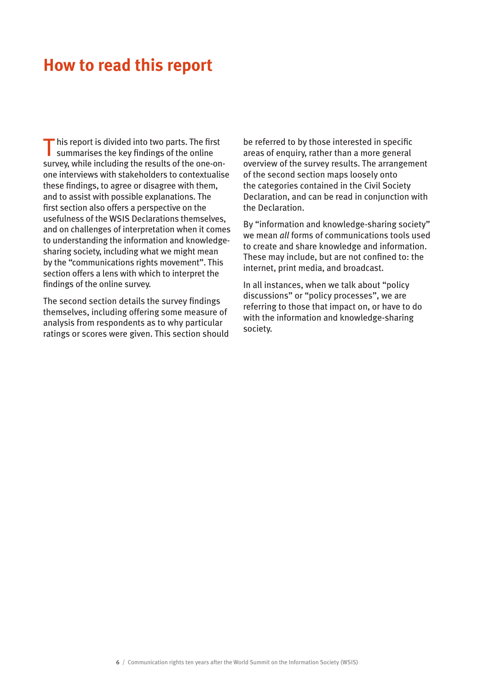### **How to read this report**

 $\blacksquare$  his report is divided into two parts. The first summarises the key findings of the online survey, while including the results of the one-onone interviews with stakeholders to contextualise these findings, to agree or disagree with them, and to assist with possible explanations. The first section also offers a perspective on the usefulness of the WSIS Declarations themselves, and on challenges of interpretation when it comes to understanding the information and knowledgesharing society, including what we might mean by the "communications rights movement". This section offers a lens with which to interpret the findings of the online survey.

The second section details the survey findings themselves, including offering some measure of analysis from respondents as to why particular ratings or scores were given. This section should

be referred to by those interested in specific areas of enquiry, rather than a more general overview of the survey results. The arrangement of the second section maps loosely onto the categories contained in the Civil Society Declaration, and can be read in conjunction with the Declaration.

By "information and knowledge-sharing society" we mean *all* forms of communications tools used to create and share knowledge and information. These may include, but are not confined to: the internet, print media, and broadcast.

In all instances, when we talk about "policy discussions" or "policy processes", we are referring to those that impact on, or have to do with the information and knowledge-sharing society.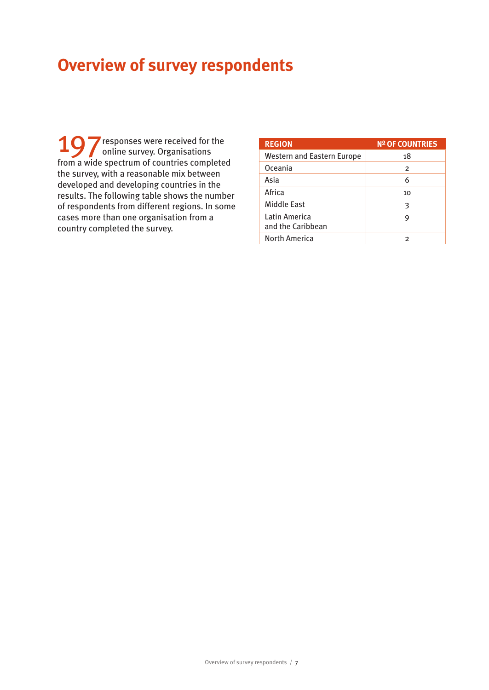# **Overview of survey respondents**

197 responses were received for the<br>online survey. Organisations from a wide spectrum of countries completed the survey, with a reasonable mix between developed and developing countries in the results. The following table shows the number of respondents from different regions. In some cases more than one organisation from a country completed the survey.

| <b>REGION</b>                      | <b>Nº OF COUNTRIES</b> |
|------------------------------------|------------------------|
| <b>Western and Eastern Europe</b>  | 18                     |
| Oceania                            | $\overline{2}$         |
| Asia                               | 6                      |
| Africa                             | 10                     |
| Middle East                        | З                      |
| Latin America<br>and the Caribbean | 9                      |
| North America                      | 2                      |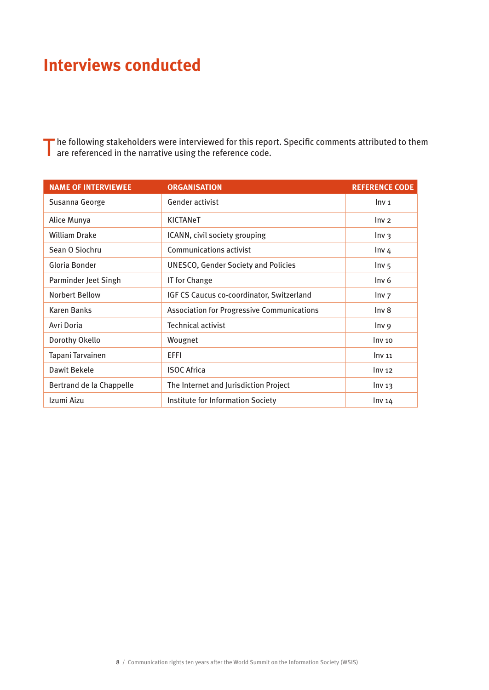# **Interviews conducted**

The following stakeholders were interviewed for this report. Specific comments attributed to them are referenced in the narrative using the reference code.

| <b>NAME OF INTERVIEWEE</b> | <b>ORGANISATION</b>                               | <b>REFERENCE CODE</b> |
|----------------------------|---------------------------------------------------|-----------------------|
| Susanna George             | Gender activist                                   | Inv <sub>1</sub>      |
| Alice Munya                | <b>KICTANeT</b>                                   | Inv <sub>2</sub>      |
| <b>William Drake</b>       | ICANN, civil society grouping                     | Inv <sub>3</sub>      |
| Sean O Siochru             | Communications activist                           | Inv <sub>4</sub>      |
| Gloria Bonder              | <b>UNESCO, Gender Society and Policies</b>        | Inv <sub>5</sub>      |
| Parminder Jeet Singh       | IT for Change                                     | Inv <sub>6</sub>      |
| <b>Norbert Bellow</b>      | IGF CS Caucus co-coordinator, Switzerland         | Inv <sub>7</sub>      |
| <b>Karen Banks</b>         | <b>Association for Progressive Communications</b> | Inv <sub>8</sub>      |
| Avri Doria                 | <b>Technical activist</b>                         | Inv 9                 |
| Dorothy Okello             | Wougnet                                           | Inv <sub>10</sub>     |
| Tapani Tarvainen           | EFFI                                              | Inv <sub>11</sub>     |
| Dawit Bekele               | <b>ISOC Africa</b>                                | Inv <sub>12</sub>     |
| Bertrand de la Chappelle   | The Internet and Jurisdiction Project             | Inv <sub>13</sub>     |
| Izumi Aizu                 | Institute for Information Society                 | Inv <sub>14</sub>     |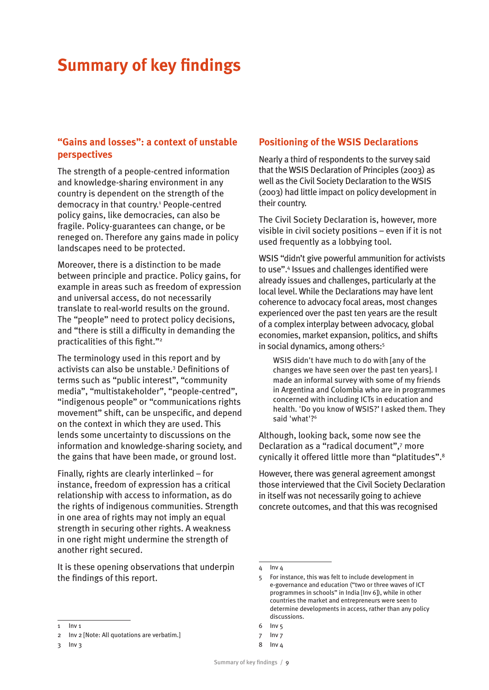# **Summary of key findings**

#### **"Gains and losses": a context of unstable perspectives**

The strength of a people-centred information and knowledge-sharing environment in any country is dependent on the strength of the democracy in that country.1 People-centred policy gains, like democracies, can also be fragile. Policy-guarantees can change, or be reneged on. Therefore any gains made in policy landscapes need to be protected.

Moreover, there is a distinction to be made between principle and practice. Policy gains, for example in areas such as freedom of expression and universal access, do not necessarily translate to real-world results on the ground. The "people" need to protect policy decisions, and "there is still a difficulty in demanding the practicalities of this fight."2

The terminology used in this report and by activists can also be unstable.3 Definitions of terms such as "public interest", "community media", "multistakeholder", "people-centred", "indigenous people" or "communications rights movement" shift, can be unspecific, and depend on the context in which they are used. This lends some uncertainty to discussions on the information and knowledge-sharing society, and the gains that have been made, or ground lost.

Finally, rights are clearly interlinked – for instance, freedom of expression has a critical relationship with access to information, as do the rights of indigenous communities. Strength in one area of rights may not imply an equal strength in securing other rights. A weakness in one right might undermine the strength of another right secured.

It is these opening observations that underpin the findings of this report.

#### **Positioning of the WSIS Declarations**

Nearly a third of respondents to the survey said that the WSIS Declaration of Principles (2003) as well as the Civil Society Declaration to the WSIS (2003) had little impact on policy development in their country.

The Civil Society Declaration is, however, more visible in civil society positions – even if it is not used frequently as a lobbying tool.

WSIS "didn't give powerful ammunition for activists to use".4 Issues and challenges identified were already issues and challenges, particularly at the local level. While the Declarations may have lent coherence to advocacy focal areas, most changes experienced over the past ten years are the result of a complex interplay between advocacy, global economies, market expansion, politics, and shifts in social dynamics, among others:<sup>5</sup>

WSIS didn't have much to do with [any of the changes we have seen over the past ten years]. I made an informal survey with some of my friends in Argentina and Colombia who are in programmes concerned with including ICTs in education and health. 'Do you know of WSIS?' I asked them. They said 'what'?6

Although, looking back, some now see the Declaration as a "radical document",7 more cynically it offered little more than "platitudes".8

However, there was general agreement amongst those interviewed that the Civil Society Declaration in itself was not necessarily going to achieve concrete outcomes, and that this was recognised

<sup>1</sup> Inv 1

<sup>2</sup> Inv 2 [Note: All quotations are verbatim.]

<sup>3</sup> Inv 3

 $4$  Inv  $4$ 

<sup>5</sup> For instance, this was felt to include development in e-governance and education ("two or three waves of ICT programmes in schools" in India [Inv 6]), while in other countries the market and entrepreneurs were seen to determine developments in access, rather than any policy discussions.

<sup>6</sup> Inv 5

<sup>7</sup> Inv 7

<sup>8</sup> Inv 4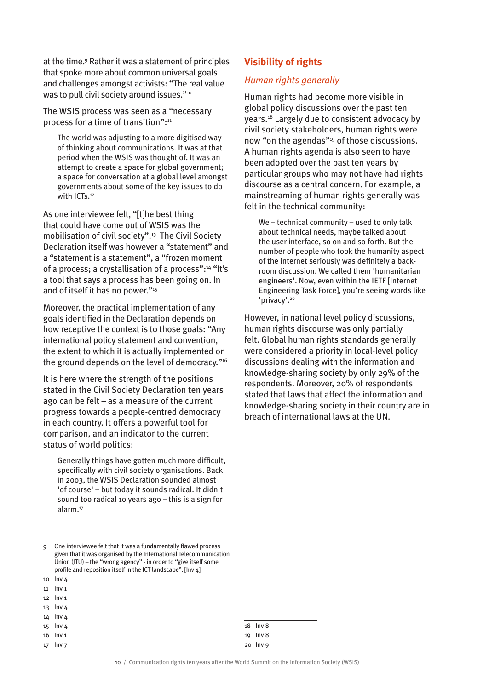at the time.9 Rather it was a statement of principles that spoke more about common universal goals and challenges amongst activists: "The real value was to pull civil society around issues."<sup>10</sup>

The WSIS process was seen as a "necessary process for a time of transition":<sup>11</sup>

The world was adjusting to a more digitised way of thinking about communications. It was at that period when the WSIS was thought of. It was an attempt to create a space for global government; a space for conversation at a global level amongst governments about some of the key issues to do with ICTs<sup>12</sup>

As one interviewee felt. "It the best thing that could have come out of WSIS was the mobilisation of civil society".13 The Civil Society Declaration itself was however a "statement" and a "statement is a statement", a "frozen moment of a process; a crystallisation of a process":14 "It's a tool that says a process has been going on. In and of itself it has no power."15

Moreover, the practical implementation of any goals identified in the Declaration depends on how receptive the context is to those goals: "Any international policy statement and convention, the extent to which it is actually implemented on the ground depends on the level of democracy."<sup>16</sup>

It is here where the strength of the positions stated in the Civil Society Declaration ten years ago can be felt – as a measure of the current progress towards a people-centred democracy in each country. It offers a powerful tool for comparison, and an indicator to the current status of world politics:

Generally things have gotten much more difficult, specifically with civil society organisations. Back in 2003, the WSIS Declaration sounded almost 'of course' – but today it sounds radical. It didn't sound too radical 10 years ago – this is a sign for alarm.17

- 14 Inv 4
- 15 Inv 4
- 16 Inv 1
- 17 Inv 7

#### **Visibility of rights**

#### *Human rights generally*

Human rights had become more visible in global policy discussions over the past ten years.18 Largely due to consistent advocacy by civil society stakeholders, human rights were now "on the agendas"19 of those discussions. A human rights agenda is also seen to have been adopted over the past ten years by particular groups who may not have had rights discourse as a central concern. For example, a mainstreaming of human rights generally was felt in the technical community:

We – technical community – used to only talk about technical needs, maybe talked about the user interface, so on and so forth. But the number of people who took the humanity aspect of the internet seriously was definitely a backroom discussion. We called them 'humanitarian engineers'. Now, even within the IETF [Internet Engineering Task Force], you're seeing words like 'privacy'.20

However, in national level policy discussions, human rights discourse was only partially felt. Global human rights standards generally were considered a priority in local-level policy discussions dealing with the information and knowledge-sharing society by only 29% of the respondents. Moreover, 20% of respondents stated that laws that affect the information and knowledge-sharing society in their country are in breach of international laws at the UN.

<sup>9</sup> One interviewee felt that it was a fundamentally flawed process given that it was organised by the International Telecommunication Union (ITU) – the "wrong agency" - in order to "give itself some profile and reposition itself in the ICT landscape". [Inv 4]

<sup>10</sup> Inv 4

<sup>11</sup> Inv 1

<sup>12</sup> Inv 1 13 Inv 4

<sup>18</sup> Inv 8 19 Inv 8 20 Inv 9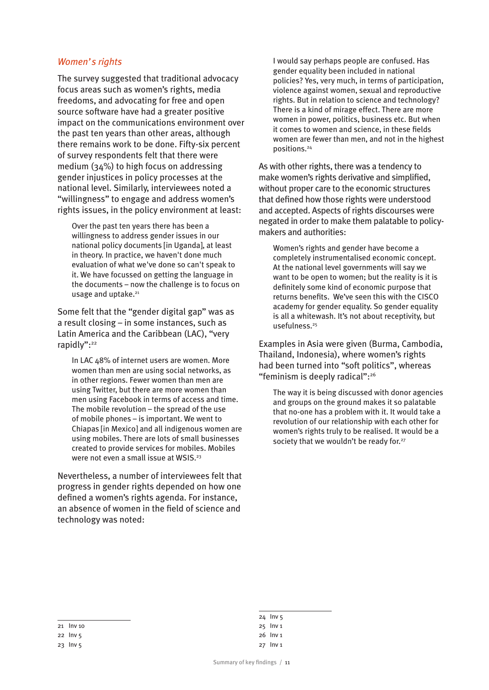#### *Women's rights*

The survey suggested that traditional advocacy focus areas such as women's rights, media freedoms, and advocating for free and open source software have had a greater positive impact on the communications environment over the past ten years than other areas, although there remains work to be done. Fifty-six percent of survey respondents felt that there were medium (34%) to high focus on addressing gender injustices in policy processes at the national level. Similarly, interviewees noted a "willingness" to engage and address women's rights issues, in the policy environment at least:

Over the past ten years there has been a willingness to address gender issues in our national policy documents [in Uganda], at least in theory. In practice, we haven't done much evaluation of what we've done so can't speak to it. We have focussed on getting the language in the documents – now the challenge is to focus on usage and uptake.<sup>21</sup>

Some felt that the "gender digital gap" was as a result closing – in some instances, such as Latin America and the Caribbean (LAC), "very rapidly":<sup>22</sup>

In LAC 48% of internet users are women. More women than men are using social networks, as in other regions. Fewer women than men are using Twitter, but there are more women than men using Facebook in terms of access and time. The mobile revolution – the spread of the use of mobile phones – is important. We went to Chiapas [in Mexico] and all indigenous women are using mobiles. There are lots of small businesses created to provide services for mobiles. Mobiles were not even a small issue at WSIS.<sup>23</sup>

Nevertheless, a number of interviewees felt that progress in gender rights depended on how one defined a women's rights agenda. For instance, an absence of women in the field of science and technology was noted:

I would say perhaps people are confused. Has gender equality been included in national policies? Yes, very much, in terms of participation, violence against women, sexual and reproductive rights. But in relation to science and technology? There is a kind of mirage effect. There are more women in power, politics, business etc. But when it comes to women and science, in these fields women are fewer than men, and not in the highest positions.24

As with other rights, there was a tendency to make women's rights derivative and simplified, without proper care to the economic structures that defined how those rights were understood and accepted. Aspects of rights discourses were negated in order to make them palatable to policymakers and authorities:

Women's rights and gender have become a completely instrumentalised economic concept. At the national level governments will say we want to be open to women; but the reality is it is definitely some kind of economic purpose that returns benefits. We've seen this with the CISCO academy for gender equality. So gender equality is all a whitewash. It's not about receptivity, but usefulness.<sup>25</sup>

Examples in Asia were given (Burma, Cambodia, Thailand, Indonesia), where women's rights had been turned into "soft politics", whereas "feminism is deeply radical":26

The way it is being discussed with donor agencies and groups on the ground makes it so palatable that no-one has a problem with it. It would take a revolution of our relationship with each other for women's rights truly to be realised. It would be a society that we wouldn't be ready for.<sup>27</sup>

24 Inv 5 25 Inv 1 26 Inv 1 27 Inv 1

<sup>21</sup> Inv 10

<sup>22</sup> Inv 5

<sup>23</sup> Inv 5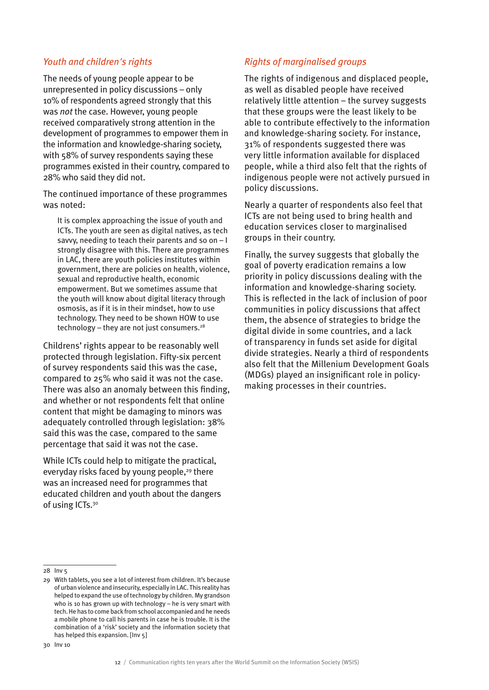#### *Youth and children's rights*

The needs of young people appear to be unrepresented in policy discussions – only 10% of respondents agreed strongly that this was *not* the case. However, young people received comparatively strong attention in the development of programmes to empower them in the information and knowledge-sharing society, with 58% of survey respondents saying these programmes existed in their country, compared to 28% who said they did not.

The continued importance of these programmes was noted:

It is complex approaching the issue of youth and ICTs. The youth are seen as digital natives, as tech savvy, needing to teach their parents and so on – I strongly disagree with this. There are programmes in LAC, there are youth policies institutes within government, there are policies on health, violence, sexual and reproductive health, economic empowerment. But we sometimes assume that the youth will know about digital literacy through osmosis, as if it is in their mindset, how to use technology. They need to be shown HOW to use technology – they are not just consumers. $28$ 

Childrens' rights appear to be reasonably well protected through legislation. Fifty-six percent of survey respondents said this was the case, compared to 25% who said it was not the case. There was also an anomaly between this finding, and whether or not respondents felt that online content that might be damaging to minors was adequately controlled through legislation: 38% said this was the case, compared to the same percentage that said it was not the case.

While ICTs could help to mitigate the practical, everyday risks faced by young people,<sup>29</sup> there was an increased need for programmes that educated children and youth about the dangers of using ICTs.<sup>30</sup>

#### *Rights of marginalised groups*

The rights of indigenous and displaced people, as well as disabled people have received relatively little attention – the survey suggests that these groups were the least likely to be able to contribute effectively to the information and knowledge-sharing society. For instance, 31% of respondents suggested there was very little information available for displaced people, while a third also felt that the rights of indigenous people were not actively pursued in policy discussions.

Nearly a quarter of respondents also feel that ICTs are not being used to bring health and education services closer to marginalised groups in their country.

Finally, the survey suggests that globally the goal of poverty eradication remains a low priority in policy discussions dealing with the information and knowledge-sharing society. This is reflected in the lack of inclusion of poor communities in policy discussions that affect them, the absence of strategies to bridge the digital divide in some countries, and a lack of transparency in funds set aside for digital divide strategies. Nearly a third of respondents also felt that the Millenium Development Goals (MDGs) played an insignificant role in policymaking processes in their countries.

<sup>28</sup> Inv 5

<sup>29</sup> With tablets, you see a lot of interest from children. It's because of urban violence and insecurity, especially in LAC. This reality has helped to expand the use of technology by children. My grandson who is 10 has grown up with technology – he is very smart with tech. He has to come back from school accompanied and he needs a mobile phone to call his parents in case he is trouble. It is the combination of a 'risk' society and the information society that has helped this expansion. [Inv 5]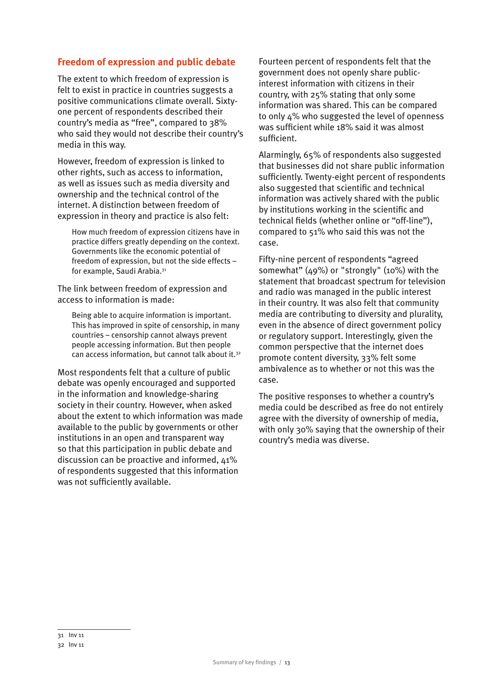#### **Freedom of expression and public debate**

The extent to which freedom of expression is felt to exist in practice in countries suggests a positive communications climate overall. Sixtyone percent of respondents described their country's media as "free", compared to 38% who said they would not describe their country's media in this way.

However, freedom of expression is linked to other rights, such as access to information, as well as issues such as media diversity and ownership and the technical control of the internet. A distinction between freedom of expression in theory and practice is also felt:

How much freedom of expression citizens have in practice differs greatly depending on the context. Governments like the economic potential of freedom of expression, but not the side effects – for example, Saudi Arabia.31

The link between freedom of expression and access to information is made:

Being able to acquire information is important. This has improved in spite of censorship, in many countries – censorship cannot always prevent people accessing information. But then people can access information, but cannot talk about it.32

Most respondents felt that a culture of public debate was openly encouraged and supported in the information and knowledge-sharing society in their country. However, when asked about the extent to which information was made available to the public by governments or other institutions in an open and transparent way so that this participation in public debate and discussion can be proactive and informed, 41% of respondents suggested that this information was not sufficiently available.

Fourteen percent of respondents felt that the government does not openly share publicinterest information with citizens in their country, with 25% stating that only some information was shared. This can be compared to only 4% who suggested the level of openness was sufficient while 18% said it was almost sufficient.

Alarmingly, 65% of respondents also suggested that businesses did not share public information sufficiently. Twenty-eight percent of respondents also suggested that scientific and technical information was actively shared with the public by institutions working in the scientific and technical fields (whether online or "off-line"), compared to 51% who said this was not the case.

Fifty-nine percent of respondents "agreed somewhat" (49%) or "strongly" (10%) with the statement that broadcast spectrum for television and radio was managed in the public interest in their country. It was also felt that community media are contributing to diversity and plurality, even in the absence of direct government policy or regulatory support. Interestingly, given the common perspective that the internet does promote content diversity, 33% felt some ambivalence as to whether or not this was the case.

The positive responses to whether a country's media could be described as free do not entirely agree with the diversity of ownership of media, with only 30% saying that the ownership of their country's media was diverse.

<sup>31</sup> Inv 11

<sup>32</sup> Inv 11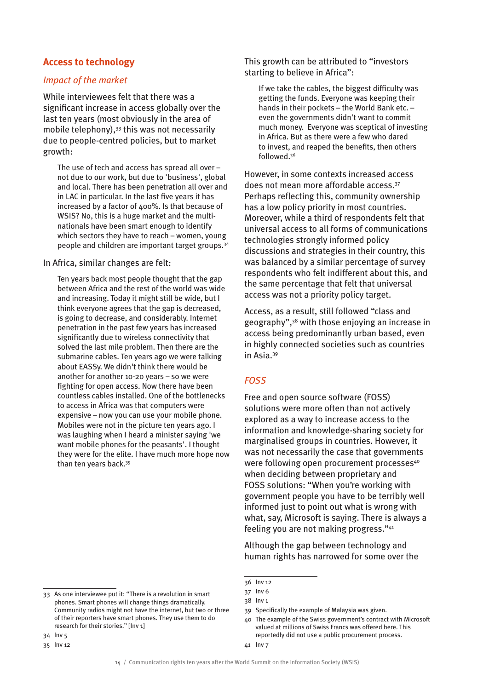#### **Access to technology**

#### *Impact of the market*

While interviewees felt that there was a significant increase in access globally over the last ten years (most obviously in the area of mobile telephony),<sup>33</sup> this was not necessarily due to people-centred policies, but to market growth:

The use of tech and access has spread all over – not due to our work, but due to 'business', global and local. There has been penetration all over and in LAC in particular. In the last five years it has increased by a factor of 400%. Is that because of WSIS? No, this is a huge market and the multinationals have been smart enough to identify which sectors they have to reach – women, young people and children are important target groups.34

#### In Africa, similar changes are felt:

Ten years back most people thought that the gap between Africa and the rest of the world was wide and increasing. Today it might still be wide, but I think everyone agrees that the gap is decreased, is going to decrease, and considerably. Internet penetration in the past few years has increased significantly due to wireless connectivity that solved the last mile problem. Then there are the submarine cables. Ten years ago we were talking about EASSy. We didn't think there would be another for another 10-20 years – so we were fighting for open access. Now there have been countless cables installed. One of the bottlenecks to access in Africa was that computers were expensive – now you can use your mobile phone. Mobiles were not in the picture ten years ago. I was laughing when I heard a minister saying 'we want mobile phones for the peasants'. I thought they were for the elite. I have much more hope now than ten years back.35

This growth can be attributed to "investors starting to believe in Africa":

If we take the cables, the biggest difficulty was getting the funds. Everyone was keeping their hands in their pockets – the World Bank etc. – even the governments didn't want to commit much money. Everyone was sceptical of investing in Africa. But as there were a few who dared to invest, and reaped the benefits, then others followed.36

However, in some contexts increased access does not mean more affordable access.37 Perhaps reflecting this, community ownership has a low policy priority in most countries. Moreover, while a third of respondents felt that universal access to all forms of communications technologies strongly informed policy discussions and strategies in their country, this was balanced by a similar percentage of survey respondents who felt indifferent about this, and the same percentage that felt that universal access was not a priority policy target.

Access, as a result, still followed "class and geography",38 with those enjoying an increase in access being predominantly urban based, even in highly connected societies such as countries in Asia.39

#### *FOSS*

Free and open source software (FOSS) solutions were more often than not actively explored as a way to increase access to the information and knowledge-sharing society for marginalised groups in countries. However, it was not necessarily the case that governments were following open procurement processes<sup>40</sup> when deciding between proprietary and FOSS solutions: "When you're working with government people you have to be terribly well informed just to point out what is wrong with what, say, Microsoft is saying. There is always a feeling you are not making progress."41

Although the gap between technology and human rights has narrowed for some over the

40 The example of the Swiss government's contract with Microsoft valued at millions of Swiss Francs was offered here. This reportedly did not use a public procurement process.

<sup>36</sup> Inv 12

<sup>37</sup> Inv 6

<sup>38</sup> Inv 1

<sup>39</sup> Specifically the example of Malaysia was given.

<sup>34</sup> Inv 5 35 Inv 12

<sup>33</sup> As one interviewee put it: "There is a revolution in smart phones. Smart phones will change things dramatically. Community radios might not have the internet, but two or three of their reporters have smart phones. They use them to do research for their stories." [Inv 1]

<sup>41</sup> Inv 7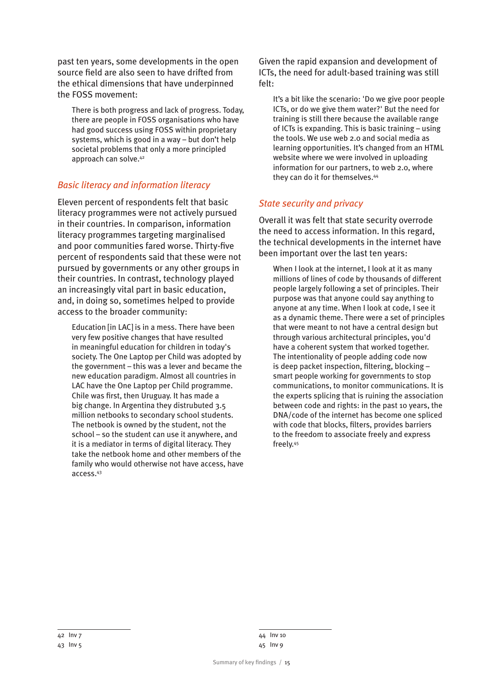past ten years, some developments in the open source field are also seen to have drifted from the ethical dimensions that have underpinned the FOSS movement:

There is both progress and lack of progress. Today, there are people in FOSS organisations who have had good success using FOSS within proprietary systems, which is good in a way – but don't help societal problems that only a more principled approach can solve.42

#### *Basic literacy and information literacy*

Eleven percent of respondents felt that basic literacy programmes were not actively pursued in their countries. In comparison, information literacy programmes targeting marginalised and poor communities fared worse. Thirty-five percent of respondents said that these were not pursued by governments or any other groups in their countries. In contrast, technology played an increasingly vital part in basic education, and, in doing so, sometimes helped to provide access to the broader community:

Education [in LAC] is in a mess. There have been very few positive changes that have resulted in meaningful education for children in today's society. The One Laptop per Child was adopted by the government – this was a lever and became the new education paradigm. Almost all countries in LAC have the One Laptop per Child programme. Chile was first, then Uruguay. It has made a big change. In Argentina they distrubuted 3.5 million netbooks to secondary school students. The netbook is owned by the student, not the school – so the student can use it anywhere, and it is a mediator in terms of digital literacy. They take the netbook home and other members of the family who would otherwise not have access, have access.43

Given the rapid expansion and development of ICTs, the need for adult-based training was still felt:

It's a bit like the scenario: 'Do we give poor people ICTs, or do we give them water?' But the need for training is still there because the available range of ICTs is expanding. This is basic training – using the tools. We use web 2.0 and social media as learning opportunities. It's changed from an HTML website where we were involved in uploading information for our partners, to web 2.0, where they can do it for themselves.<sup>44</sup>

#### *State security and privacy*

Overall it was felt that state security overrode the need to access information. In this regard, the technical developments in the internet have been important over the last ten years:

When I look at the internet, I look at it as many millions of lines of code by thousands of different people largely following a set of principles. Their purpose was that anyone could say anything to anyone at any time. When I look at code, I see it as a dynamic theme. There were a set of principles that were meant to not have a central design but through various architectural principles, you'd have a coherent system that worked together. The intentionality of people adding code now is deep packet inspection, filtering, blocking – smart people working for governments to stop communications, to monitor communications. It is the experts splicing that is ruining the association between code and rights: in the past 10 years, the DNA/code of the internet has become one spliced with code that blocks, filters, provides barriers to the freedom to associate freely and express freely.45

<sup>44</sup> Inv 10 45 Inv 9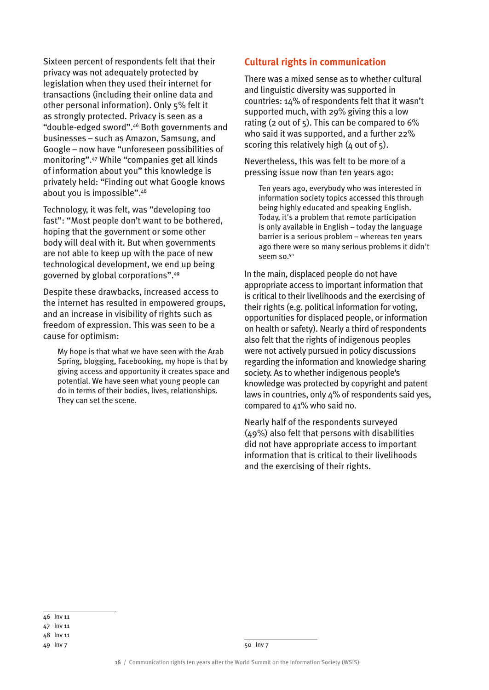Sixteen percent of respondents felt that their privacy was not adequately protected by legislation when they used their internet for transactions (including their online data and other personal information). Only 5% felt it as strongly protected. Privacy is seen as a "double-edged sword".46 Both governments and businesses – such as Amazon, Samsung, and Google – now have "unforeseen possibilities of monitoring".47 While "companies get all kinds of information about you" this knowledge is privately held: "Finding out what Google knows about you is impossible".48

Technology, it was felt, was "developing too fast": "Most people don't want to be bothered, hoping that the government or some other body will deal with it. But when governments are not able to keep up with the pace of new technological development, we end up being governed by global corporations".49

Despite these drawbacks, increased access to the internet has resulted in empowered groups, and an increase in visibility of rights such as freedom of expression. This was seen to be a cause for optimism:

My hope is that what we have seen with the Arab Spring, blogging, Facebooking, my hope is that by giving access and opportunity it creates space and potential. We have seen what young people can do in terms of their bodies, lives, relationships. They can set the scene.

#### **Cultural rights in communication**

There was a mixed sense as to whether cultural and linguistic diversity was supported in countries: 14% of respondents felt that it wasn't supported much, with 29% giving this a low rating (2 out of  $5$ ). This can be compared to  $6\%$ who said it was supported, and a further 22% scoring this relatively high  $(4 \text{ out of } 5)$ .

Nevertheless, this was felt to be more of a pressing issue now than ten years ago:

Ten years ago, everybody who was interested in information society topics accessed this through being highly educated and speaking English. Today, it's a problem that remote participation is only available in English – today the language barrier is a serious problem – whereas ten years ago there were so many serious problems it didn't seem so.<sup>50</sup>

In the main, displaced people do not have appropriate access to important information that is critical to their livelihoods and the exercising of their rights (e.g. political information for voting, opportunities for displaced people, or information on health or safety). Nearly a third of respondents also felt that the rights of indigenous peoples were not actively pursued in policy discussions regarding the information and knowledge sharing society. As to whether indigenous people's knowledge was protected by copyright and patent laws in countries, only 4% of respondents said yes, compared to 41% who said no.

Nearly half of the respondents surveyed (49%) also felt that persons with disabilities did not have appropriate access to important information that is critical to their livelihoods and the exercising of their rights.

<sup>46</sup> Inv 11

<sup>47</sup> Inv 11

<sup>48</sup> Inv 11

<sup>49</sup> Inv 7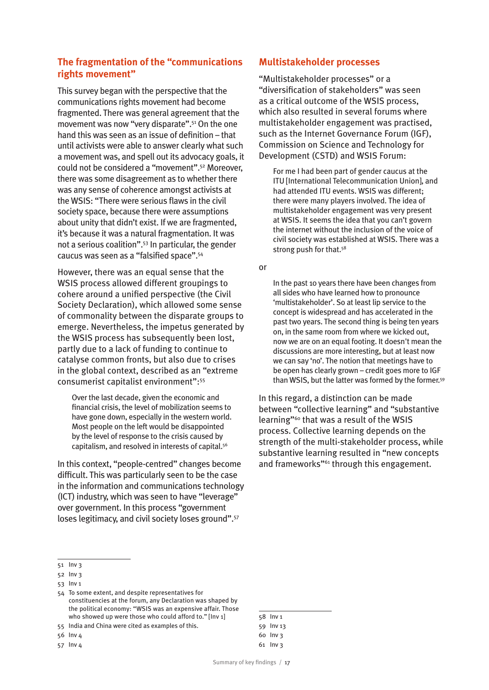#### **The fragmentation of the "communications rights movement"**

This survey began with the perspective that the communications rights movement had become fragmented. There was general agreement that the movement was now "very disparate".51 On the one hand this was seen as an issue of definition – that until activists were able to answer clearly what such a movement was, and spell out its advocacy goals, it could not be considered a "movement".52 Moreover, there was some disagreement as to whether there was any sense of coherence amongst activists at the WSIS: "There were serious flaws in the civil society space, because there were assumptions about unity that didn't exist. If we are fragmented, it's because it was a natural fragmentation. It was not a serious coalition".53 In particular, the gender caucus was seen as a "falsified space".54

However, there was an equal sense that the WSIS process allowed different groupings to cohere around a unified perspective (the Civil Society Declaration), which allowed some sense of commonality between the disparate groups to emerge. Nevertheless, the impetus generated by the WSIS process has subsequently been lost, partly due to a lack of funding to continue to catalyse common fronts, but also due to crises in the global context, described as an "extreme consumerist capitalist environment":55

Over the last decade, given the economic and financial crisis, the level of mobilization seems to have gone down, especially in the western world. Most people on the left would be disappointed by the level of response to the crisis caused by capitalism, and resolved in interests of capital.56

In this context, "people-centred" changes become difficult. This was particularly seen to be the case in the information and communications technology (ICT) industry, which was seen to have "leverage" over government. In this process "government loses legitimacy, and civil society loses ground".57

#### **Multistakeholder processes**

"Multistakeholder processes" or a "diversification of stakeholders" was seen as a critical outcome of the WSIS process, which also resulted in several forums where multistakeholder engagement was practised, such as the Internet Governance Forum (IGF), Commission on Science and Technology for Development (CSTD) and WSIS Forum:

For me I had been part of gender caucus at the ITU [International Telecommunication Union], and had attended ITU events. WSIS was different; there were many players involved. The idea of multistakeholder engagement was very present at WSIS. It seems the idea that you can't govern the internet without the inclusion of the voice of civil society was established at WSIS. There was a strong push for that.<sup>58</sup>

or

In the past 10 years there have been changes from all sides who have learned how to pronounce 'multistakeholder'. So at least lip service to the concept is widespread and has accelerated in the past two years. The second thing is being ten years on, in the same room from where we kicked out, now we are on an equal footing. It doesn't mean the discussions are more interesting, but at least now we can say 'no'. The notion that meetings have to be open has clearly grown – credit goes more to IGF than WSIS, but the latter was formed by the former.59

In this regard, a distinction can be made between "collective learning" and "substantive learning"60 that was a result of the WSIS process. Collective learning depends on the strength of the multi-stakeholder process, while substantive learning resulted in "new concepts and frameworks"<sup>61</sup> through this engagement.

| ביהודי שני |
|------------|
| 59 Inv 13  |
| 6o Inv3    |
| 61 Inv 3   |

 $58$  Inv 1

<sup>51</sup> Inv 3

<sup>52</sup> Inv 3

<sup>53</sup> Inv 1

<sup>54</sup> To some extent, and despite representatives for constituencies at the forum, any Declaration was shaped by the political economy: "WSIS was an expensive affair. Those who showed up were those who could afford to." [Inv 1]

<sup>55</sup> India and China were cited as examples of this.

<sup>56</sup> Inv 4

<sup>57</sup> Inv 4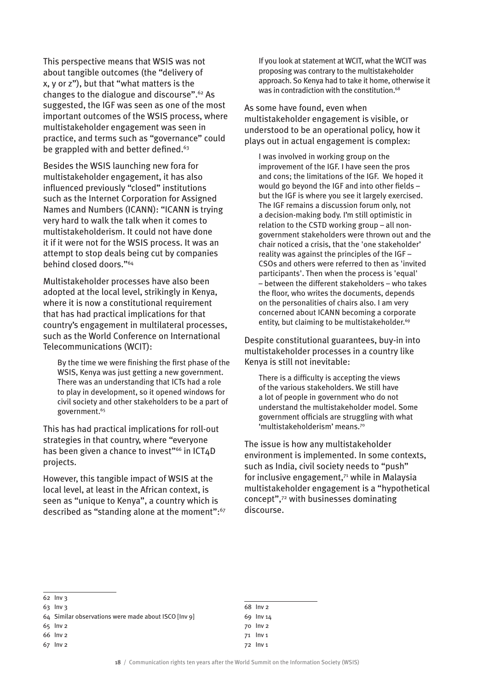This perspective means that WSIS was not about tangible outcomes (the "delivery of x, y or z"), but that "what matters is the changes to the dialogue and discourse".62 As suggested, the IGF was seen as one of the most important outcomes of the WSIS process, where multistakeholder engagement was seen in practice, and terms such as "governance" could be grappled with and better defined.<sup>63</sup>

Besides the WSIS launching new fora for multistakeholder engagement, it has also influenced previously "closed" institutions such as the Internet Corporation for Assigned Names and Numbers (ICANN): "ICANN is trying very hard to walk the talk when it comes to multistakeholderism. It could not have done it if it were not for the WSIS process. It was an attempt to stop deals being cut by companies behind closed doors."64

Multistakeholder processes have also been adopted at the local level, strikingly in Kenya, where it is now a constitutional requirement that has had practical implications for that country's engagement in multilateral processes, such as the World Conference on International Telecommunications (WCIT):

By the time we were finishing the first phase of the WSIS, Kenya was just getting a new government. There was an understanding that ICTs had a role to play in development, so it opened windows for civil society and other stakeholders to be a part of government.65

This has had practical implications for roll-out strategies in that country, where "everyone has been given a chance to invest"<sup>66</sup> in ICT4D projects.

However, this tangible impact of WSIS at the local level, at least in the African context, is seen as "unique to Kenya", a country which is described as "standing alone at the moment":<sup>67</sup> If you look at statement at WCIT, what the WCIT was proposing was contrary to the multistakeholder approach. So Kenya had to take it home, otherwise it was in contradiction with the constitution.<sup>68</sup>

As some have found, even when multistakeholder engagement is visible, or understood to be an operational policy, how it plays out in actual engagement is complex:

I was involved in working group on the improvement of the IGF. I have seen the pros and cons; the limitations of the IGF. We hoped it would go beyond the IGF and into other fields – but the IGF is where you see it largely exercised. The IGF remains a discussion forum only, not a decision-making body. I'm still optimistic in relation to the CSTD working group – all nongovernment stakeholders were thrown out and the chair noticed a crisis, that the 'one stakeholder' reality was against the principles of the IGF – CSOs and others were referred to then as 'invited participants'. Then when the process is 'equal' – between the different stakeholders – who takes the floor, who writes the documents, depends on the personalities of chairs also. I am very concerned about ICANN becoming a corporate entity, but claiming to be multistakeholder.<sup>69</sup>

Despite constitutional guarantees, buy-in into multistakeholder processes in a country like Kenya is still not inevitable:

There is a difficulty is accepting the views of the various stakeholders. We still have a lot of people in government who do not understand the multistakeholder model. Some government officials are struggling with what 'multistakeholderism' means.70

The issue is how any multistakeholder environment is implemented. In some contexts, such as India, civil society needs to "push" for inclusive engagement,71 while in Malaysia multistakeholder engagement is a "hypothetical concept",72 with businesses dominating discourse.

<sup>62</sup> Inv 3

<sup>63</sup> Inv 3

<sup>64</sup> Similar observations were made about ISCO [Inv 9]

<sup>65</sup> Inv 2

<sup>66</sup> Inv 2

<sup>67</sup> Inv 2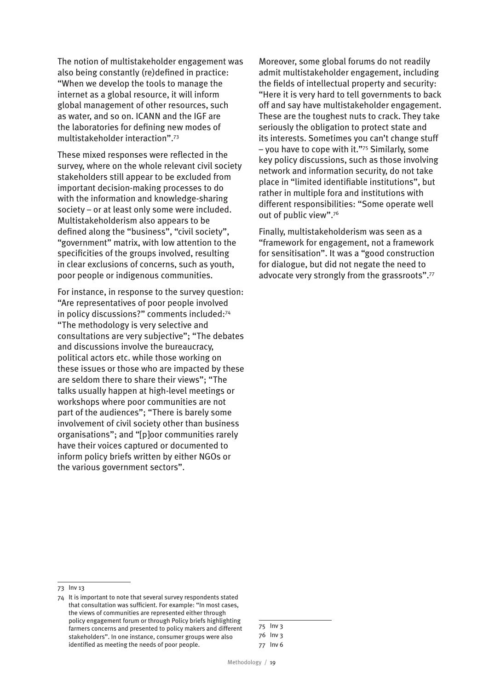The notion of multistakeholder engagement was also being constantly (re)defined in practice: "When we develop the tools to manage the internet as a global resource, it will inform global management of other resources, such as water, and so on. ICANN and the IGF are the laboratories for defining new modes of multistakeholder interaction".73

These mixed responses were reflected in the survey, where on the whole relevant civil society stakeholders still appear to be excluded from important decision-making processes to do with the information and knowledge-sharing society – or at least only some were included. Multistakeholderism also appears to be defined along the "business", "civil society", "government" matrix, with low attention to the specificities of the groups involved, resulting in clear exclusions of concerns, such as youth, poor people or indigenous communities.

For instance, in response to the survey question: "Are representatives of poor people involved in policy discussions?" comments included:74 "The methodology is very selective and consultations are very subjective"; "The debates and discussions involve the bureaucracy, political actors etc. while those working on these issues or those who are impacted by these are seldom there to share their views"; "The talks usually happen at high-level meetings or workshops where poor communities are not part of the audiences"; "There is barely some involvement of civil society other than business organisations"; and "[p]oor communities rarely have their voices captured or documented to inform policy briefs written by either NGOs or the various government sectors".

Moreover, some global forums do not readily admit multistakeholder engagement, including the fields of intellectual property and security: "Here it is very hard to tell governments to back off and say have multistakeholder engagement. These are the toughest nuts to crack. They take seriously the obligation to protect state and its interests. Sometimes you can't change stuff – you have to cope with it."75 Similarly, some key policy discussions, such as those involving network and information security, do not take place in "limited identifiable institutions", but rather in multiple fora and institutions with different responsibilities: "Some operate well out of public view".76

Finally, multistakeholderism was seen as a "framework for engagement, not a framework for sensitisation". It was a "good construction for dialogue, but did not negate the need to advocate very strongly from the grassroots".77

<sup>73</sup> Inv 13

<sup>74</sup> It is important to note that several survey respondents stated that consultation was sufficient. For example: "In most cases, the views of communities are represented either through policy engagement forum or through Policy briefs highlighting farmers concerns and presented to policy makers and different stakeholders". In one instance, consumer groups were also identified as meeting the needs of poor people.

<sup>75</sup> Inv 3

<sup>76</sup> Inv 3 77 Inv 6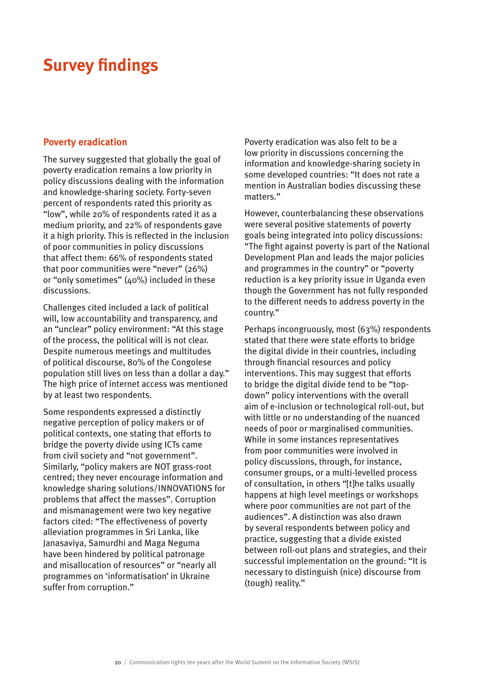# **Survey findings**

#### **Poverty eradication**

The survey suggested that globally the goal of poverty eradication remains a low priority in policy discussions dealing with the information and knowledge-sharing society. Forty-seven percent of respondents rated this priority as "low", while 20% of respondents rated it as a medium priority, and 22% of respondents gave it a high priority. This is reflected in the inclusion of poor communities in policy discussions that affect them: 66% of respondents stated that poor communities were "never" (26%) or "only sometimes" (40%) included in these discussions.

Challenges cited included a lack of political will, low accountability and transparency, and an "unclear" policy environment: "At this stage of the process, the political will is not clear. Despite numerous meetings and multitudes of political discourse, 80% of the Congolese population still lives on less than a dollar a day." The high price of internet access was mentioned by at least two respondents.

Some respondents expressed a distinctly negative perception of policy makers or of political contexts, one stating that efforts to bridge the poverty divide using ICTs came from civil society and "not government". Similarly, "policy makers are NOT grass-root centred; they never encourage information and knowledge sharing solutions/INNOVATIONS for problems that affect the masses". Corruption and mismanagement were two key negative factors cited: "The effectiveness of poverty alleviation programmes in Sri Lanka, like Janasaviya, Samurdhi and Maga Neguma have been hindered by political patronage and misallocation of resources" or "nearly all programmes on 'informatisation' in Ukraine suffer from corruption."

Poverty eradication was also felt to be a low priority in discussions concerning the information and knowledge-sharing society in some developed countries: "It does not rate a mention in Australian bodies discussing these matters."

However, counterbalancing these observations were several positive statements of poverty goals being integrated into policy discussions: "The fight against poverty is part of the National Development Plan and leads the major policies and programmes in the country" or "poverty reduction is a key priority issue in Uganda even though the Government has not fully responded to the different needs to address poverty in the country."

Perhaps incongruously, most (63%) respondents stated that there were state efforts to bridge the digital divide in their countries, including through financial resources and policy interventions. This may suggest that efforts to bridge the digital divide tend to be "topdown" policy interventions with the overall aim of e-inclusion or technological roll-out, but with little or no understanding of the nuanced needs of poor or marginalised communities. While in some instances representatives from poor communities were involved in policy discussions, through, for instance, consumer groups, or a multi-levelled process of consultation, in others "[t]he talks usually happens at high level meetings or workshops where poor communities are not part of the audiences". A distinction was also drawn by several respondents between policy and practice, suggesting that a divide existed between roll-out plans and strategies, and their successful implementation on the ground: "It is necessary to distinguish (nice) discourse from (tough) reality."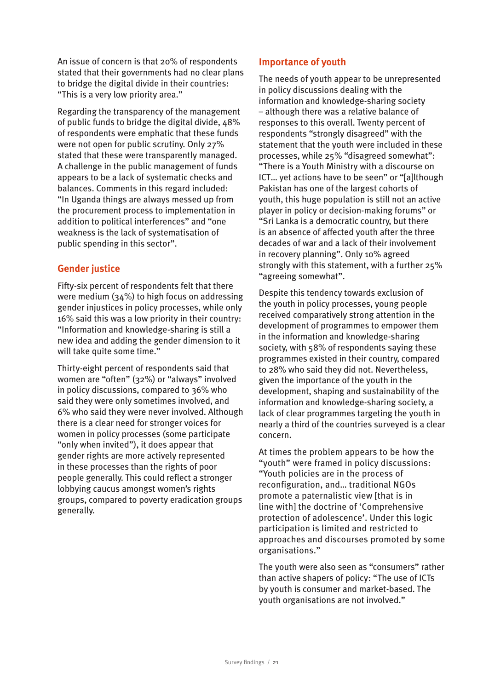An issue of concern is that 20% of respondents stated that their governments had no clear plans to bridge the digital divide in their countries: "This is a very low priority area."

Regarding the transparency of the management of public funds to bridge the digital divide, 48% of respondents were emphatic that these funds were not open for public scrutiny. Only 27% stated that these were transparently managed. A challenge in the public management of funds appears to be a lack of systematic checks and balances. Comments in this regard included: "In Uganda things are always messed up from the procurement process to implementation in addition to political interferences" and "one weakness is the lack of systematisation of public spending in this sector".

#### **Gender justice**

Fifty-six percent of respondents felt that there were medium (34%) to high focus on addressing gender injustices in policy processes, while only 16% said this was a low priority in their country: "Information and knowledge-sharing is still a new idea and adding the gender dimension to it will take quite some time."

Thirty-eight percent of respondents said that women are "often" (32%) or "always" involved in policy discussions, compared to 36% who said they were only sometimes involved, and 6% who said they were never involved. Although there is a clear need for stronger voices for women in policy processes (some participate "only when invited"), it does appear that gender rights are more actively represented in these processes than the rights of poor people generally. This could reflect a stronger lobbying caucus amongst women's rights groups, compared to poverty eradication groups generally.

#### **Importance of youth**

The needs of youth appear to be unrepresented in policy discussions dealing with the information and knowledge-sharing society – although there was a relative balance of responses to this overall. Twenty percent of respondents "strongly disagreed" with the statement that the youth were included in these processes, while 25% "disagreed somewhat": "There is a Youth Ministry with a discourse on ICT… yet actions have to be seen" or "[a]lthough Pakistan has one of the largest cohorts of youth, this huge population is still not an active player in policy or decision-making forums" or "Sri Lanka is a democratic country, but there is an absence of affected youth after the three decades of war and a lack of their involvement in recovery planning". Only 10% agreed strongly with this statement, with a further 25% "agreeing somewhat".

Despite this tendency towards exclusion of the youth in policy processes, young people received comparatively strong attention in the development of programmes to empower them in the information and knowledge-sharing society, with 58% of respondents saying these programmes existed in their country, compared to 28% who said they did not. Nevertheless, given the importance of the youth in the development, shaping and sustainability of the information and knowledge-sharing society, a lack of clear programmes targeting the youth in nearly a third of the countries surveyed is a clear concern.

At times the problem appears to be how the "youth" were framed in policy discussions: "Youth policies are in the process of reconfiguration, and… traditional NGOs promote a paternalistic view [that is in line with] the doctrine of 'Comprehensive protection of adolescence'. Under this logic participation is limited and restricted to approaches and discourses promoted by some organisations."

The youth were also seen as "consumers" rather than active shapers of policy: "The use of ICTs by youth is consumer and market-based. The youth organisations are not involved."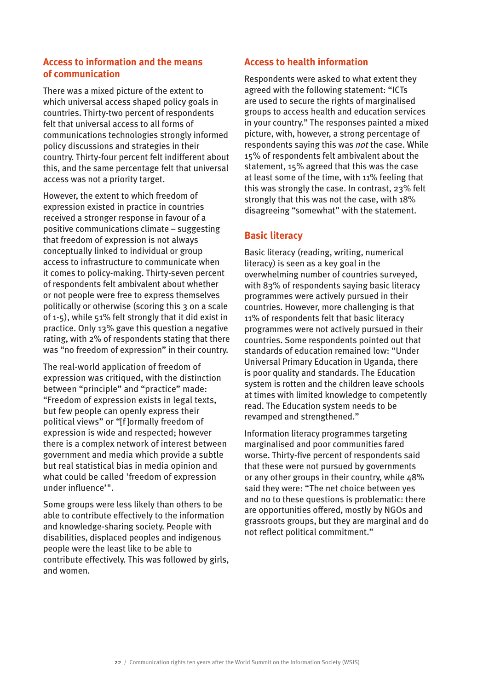#### **Access to information and the means of communication**

There was a mixed picture of the extent to which universal access shaped policy goals in countries. Thirty-two percent of respondents felt that universal access to all forms of communications technologies strongly informed policy discussions and strategies in their country. Thirty-four percent felt indifferent about this, and the same percentage felt that universal access was not a priority target.

However, the extent to which freedom of expression existed in practice in countries received a stronger response in favour of a positive communications climate – suggesting that freedom of expression is not always conceptually linked to individual or group access to infrastructure to communicate when it comes to policy-making. Thirty-seven percent of respondents felt ambivalent about whether or not people were free to express themselves politically or otherwise (scoring this 3 on a scale of 1-5), while 51% felt strongly that it did exist in practice. Only 13% gave this question a negative rating, with 2% of respondents stating that there was "no freedom of expression" in their country.

The real-world application of freedom of expression was critiqued, with the distinction between "principle" and "practice" made: "Freedom of expression exists in legal texts, but few people can openly express their political views" or "[f ]ormally freedom of expression is wide and respected; however there is a complex network of interest between government and media which provide a subtle but real statistical bias in media opinion and what could be called 'freedom of expression under influence'".

Some groups were less likely than others to be able to contribute effectively to the information and knowledge-sharing society. People with disabilities, displaced peoples and indigenous people were the least like to be able to contribute effectively. This was followed by girls, and women.

#### **Access to health information**

Respondents were asked to what extent they agreed with the following statement: "ICTs are used to secure the rights of marginalised groups to access health and education services in your country." The responses painted a mixed picture, with, however, a strong percentage of respondents saying this was *not* the case. While 15% of respondents felt ambivalent about the statement, 15% agreed that this was the case at least some of the time, with 11% feeling that this was strongly the case. In contrast, 23% felt strongly that this was not the case, with 18% disagreeing "somewhat" with the statement.

#### **Basic literacy**

Basic literacy (reading, writing, numerical literacy) is seen as a key goal in the overwhelming number of countries surveyed, with 83% of respondents saying basic literacy programmes were actively pursued in their countries. However, more challenging is that 11% of respondents felt that basic literacy programmes were not actively pursued in their countries. Some respondents pointed out that standards of education remained low: "Under Universal Primary Education in Uganda, there is poor quality and standards. The Education system is rotten and the children leave schools at times with limited knowledge to competently read. The Education system needs to be revamped and strengthened."

Information literacy programmes targeting marginalised and poor communities fared worse. Thirty-five percent of respondents said that these were not pursued by governments or any other groups in their country, while 48% said they were: "The net choice between yes and no to these questions is problematic: there are opportunities offered, mostly by NGOs and grassroots groups, but they are marginal and do not reflect political commitment."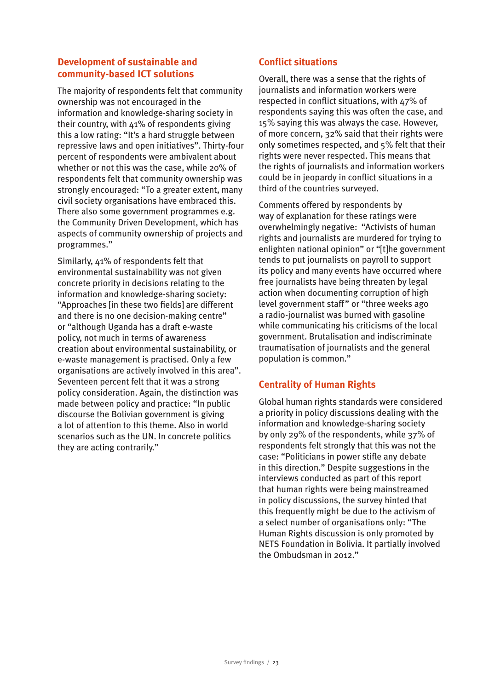#### **Development of sustainable and community-based ICT solutions**

The majority of respondents felt that community ownership was not encouraged in the information and knowledge-sharing society in their country, with  $41\%$  of respondents giving this a low rating: "It's a hard struggle between repressive laws and open initiatives". Thirty-four percent of respondents were ambivalent about whether or not this was the case, while 20% of respondents felt that community ownership was strongly encouraged: "To a greater extent, many civil society organisations have embraced this. There also some government programmes e.g. the Community Driven Development, which has aspects of community ownership of projects and programmes."

Similarly, 41% of respondents felt that environmental sustainability was not given concrete priority in decisions relating to the information and knowledge-sharing society: "Approaches [in these two fields] are different and there is no one decision-making centre" or "although Uganda has a draft e-waste policy, not much in terms of awareness creation about environmental sustainability, or e-waste management is practised. Only a few organisations are actively involved in this area". Seventeen percent felt that it was a strong policy consideration. Again, the distinction was made between policy and practice: "In public discourse the Bolivian government is giving a lot of attention to this theme. Also in world scenarios such as the UN. In concrete politics they are acting contrarily."

#### **Conflict situations**

Overall, there was a sense that the rights of journalists and information workers were respected in conflict situations, with 47% of respondents saying this was often the case, and 15% saying this was always the case. However, of more concern, 32% said that their rights were only sometimes respected, and 5% felt that their rights were never respected. This means that the rights of journalists and information workers could be in jeopardy in conflict situations in a third of the countries surveyed.

Comments offered by respondents by way of explanation for these ratings were overwhelmingly negative: "Activists of human rights and journalists are murdered for trying to enlighten national opinion" or "[t]he government tends to put journalists on payroll to support its policy and many events have occurred where free journalists have being threaten by legal action when documenting corruption of high level government staff" or "three weeks ago a radio-journalist was burned with gasoline while communicating his criticisms of the local government. Brutalisation and indiscriminate traumatisation of journalists and the general population is common."

#### **Centrality of Human Rights**

Global human rights standards were considered a priority in policy discussions dealing with the information and knowledge-sharing society by only 29% of the respondents, while 37% of respondents felt strongly that this was not the case: "Politicians in power stifle any debate in this direction." Despite suggestions in the interviews conducted as part of this report that human rights were being mainstreamed in policy discussions, the survey hinted that this frequently might be due to the activism of a select number of organisations only: "The Human Rights discussion is only promoted by NETS Foundation in Bolivia. It partially involved the Ombudsman in 2012."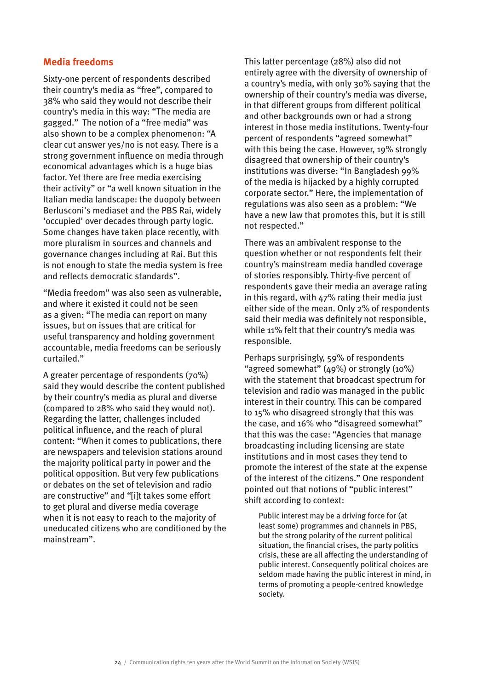#### **Media freedoms**

Sixty-one percent of respondents described their country's media as "free", compared to 38% who said they would not describe their country's media in this way: "The media are gagged." The notion of a "free media" was also shown to be a complex phenomenon: "A clear cut answer yes/no is not easy. There is a strong government influence on media through economical advantages which is a huge bias factor. Yet there are free media exercising their activity" or "a well known situation in the Italian media landscape: the duopoly between Berlusconi's mediaset and the PBS Rai, widely 'occupied' over decades through party logic. Some changes have taken place recently, with more pluralism in sources and channels and governance changes including at Rai. But this is not enough to state the media system is free and reflects democratic standards".

"Media freedom" was also seen as vulnerable, and where it existed it could not be seen as a given: "The media can report on many issues, but on issues that are critical for useful transparency and holding government accountable, media freedoms can be seriously curtailed."

A greater percentage of respondents (70%) said they would describe the content published by their country's media as plural and diverse (compared to 28% who said they would not). Regarding the latter, challenges included political influence, and the reach of plural content: "When it comes to publications, there are newspapers and television stations around the majority political party in power and the political opposition. But very few publications or debates on the set of television and radio are constructive" and "[i]t takes some effort to get plural and diverse media coverage when it is not easy to reach to the majority of uneducated citizens who are conditioned by the mainstream".

This latter percentage (28%) also did not entirely agree with the diversity of ownership of a country's media, with only 30% saying that the ownership of their country's media was diverse, in that different groups from different political and other backgrounds own or had a strong interest in those media institutions. Twenty-four percent of respondents "agreed somewhat" with this being the case. However, 19% strongly disagreed that ownership of their country's institutions was diverse: "In Bangladesh 99% of the media is hijacked by a highly corrupted corporate sector." Here, the implementation of regulations was also seen as a problem: "We have a new law that promotes this, but it is still not respected."

There was an ambivalent response to the question whether or not respondents felt their country's mainstream media handled coverage of stories responsibly. Thirty-five percent of respondents gave their media an average rating in this regard, with 47% rating their media just either side of the mean. Only 2% of respondents said their media was definitely not responsible, while 11% felt that their country's media was responsible.

Perhaps surprisingly, 59% of respondents "agreed somewhat" (49%) or strongly (10%) with the statement that broadcast spectrum for television and radio was managed in the public interest in their country. This can be compared to 15% who disagreed strongly that this was the case, and 16% who "disagreed somewhat" that this was the case: "Agencies that manage broadcasting including licensing are state institutions and in most cases they tend to promote the interest of the state at the expense of the interest of the citizens." One respondent pointed out that notions of "public interest" shift according to context:

Public interest may be a driving force for (at least some) programmes and channels in PBS, but the strong polarity of the current political situation, the financial crises, the party politics crisis, these are all affecting the understanding of public interest. Consequently political choices are seldom made having the public interest in mind, in terms of promoting a people-centred knowledge society.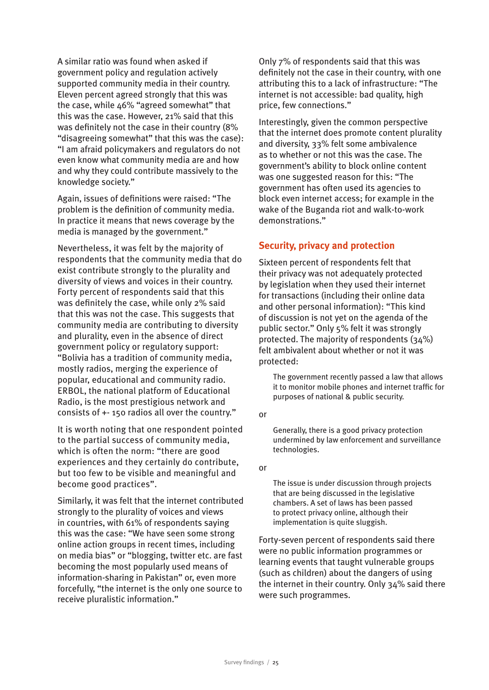A similar ratio was found when asked if government policy and regulation actively supported community media in their country. Eleven percent agreed strongly that this was the case, while  $46\%$  "agreed somewhat" that this was the case. However, 21% said that this was definitely not the case in their country (8% "disagreeing somewhat" that this was the case): "I am afraid policymakers and regulators do not even know what community media are and how and why they could contribute massively to the knowledge society."

Again, issues of definitions were raised: "The problem is the definition of community media. In practice it means that news coverage by the media is managed by the government."

Nevertheless, it was felt by the majority of respondents that the community media that do exist contribute strongly to the plurality and diversity of views and voices in their country. Forty percent of respondents said that this was definitely the case, while only 2% said that this was not the case. This suggests that community media are contributing to diversity and plurality, even in the absence of direct government policy or regulatory support: "Bolivia has a tradition of community media, mostly radios, merging the experience of popular, educational and community radio. ERBOL, the national platform of Educational Radio, is the most prestigious network and consists of +- 150 radios all over the country."

It is worth noting that one respondent pointed to the partial success of community media, which is often the norm: "there are good experiences and they certainly do contribute, but too few to be visible and meaningful and become good practices".

Similarly, it was felt that the internet contributed strongly to the plurality of voices and views in countries, with 61% of respondents saying this was the case: "We have seen some strong online action groups in recent times, including on media bias" or "blogging, twitter etc. are fast becoming the most popularly used means of information-sharing in Pakistan" or, even more forcefully, "the internet is the only one source to receive pluralistic information."

Only 7% of respondents said that this was definitely not the case in their country, with one attributing this to a lack of infrastructure: "The internet is not accessible: bad quality, high price, few connections."

Interestingly, given the common perspective that the internet does promote content plurality and diversity, 33% felt some ambivalence as to whether or not this was the case. The government's ability to block online content was one suggested reason for this: "The government has often used its agencies to block even internet access; for example in the wake of the Buganda riot and walk-to-work demonstrations."

#### **Security, privacy and protection**

Sixteen percent of respondents felt that their privacy was not adequately protected by legislation when they used their internet for transactions (including their online data and other personal information): "This kind of discussion is not yet on the agenda of the public sector." Only 5% felt it was strongly protected. The majority of respondents (34%) felt ambivalent about whether or not it was protected:

The government recently passed a law that allows it to monitor mobile phones and internet traffic for purposes of national & public security.

or

Generally, there is a good privacy protection undermined by law enforcement and surveillance technologies.

or

The issue is under discussion through projects that are being discussed in the legislative chambers. A set of laws has been passed to protect privacy online, although their implementation is quite sluggish.

Forty-seven percent of respondents said there were no public information programmes or learning events that taught vulnerable groups (such as children) about the dangers of using the internet in their country. Only 34% said there were such programmes.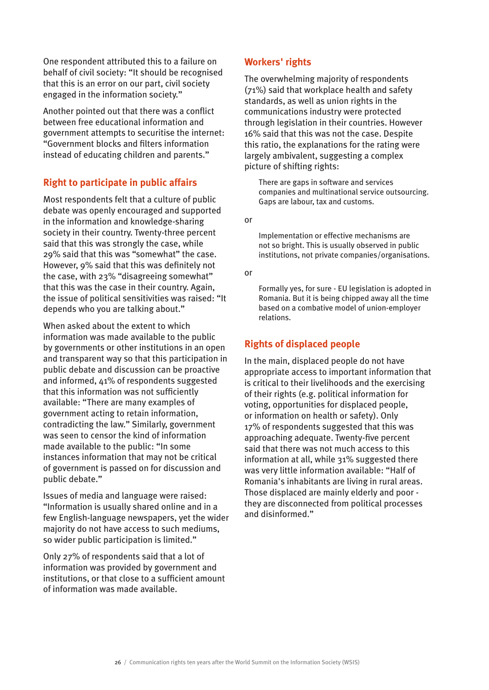One respondent attributed this to a failure on behalf of civil society: "It should be recognised that this is an error on our part, civil society engaged in the information society."

Another pointed out that there was a conflict between free educational information and government attempts to securitise the internet: "Government blocks and filters information instead of educating children and parents."

#### **Right to participate in public affairs**

Most respondents felt that a culture of public debate was openly encouraged and supported in the information and knowledge-sharing society in their country. Twenty-three percent said that this was strongly the case, while 29% said that this was "somewhat" the case. However, 9% said that this was definitely not the case, with 23% "disagreeing somewhat" that this was the case in their country. Again, the issue of political sensitivities was raised: "It depends who you are talking about."

When asked about the extent to which information was made available to the public by governments or other institutions in an open and transparent way so that this participation in public debate and discussion can be proactive and informed, 41% of respondents suggested that this information was not sufficiently available: "There are many examples of government acting to retain information, contradicting the law." Similarly, government was seen to censor the kind of information made available to the public: "In some instances information that may not be critical of government is passed on for discussion and public debate."

Issues of media and language were raised: "Information is usually shared online and in a few English-language newspapers, yet the wider majority do not have access to such mediums, so wider public participation is limited."

Only 27% of respondents said that a lot of information was provided by government and institutions, or that close to a sufficient amount of information was made available.

#### **Workers' rights**

The overwhelming majority of respondents (71%) said that workplace health and safety standards, as well as union rights in the communications industry were protected through legislation in their countries. However 16% said that this was not the case. Despite this ratio, the explanations for the rating were largely ambivalent, suggesting a complex picture of shifting rights:

There are gaps in software and services companies and multinational service outsourcing. Gaps are labour, tax and customs.

or

Implementation or effective mechanisms are not so bright. This is usually observed in public institutions, not private companies/organisations.

#### or

Formally yes, for sure - EU legislation is adopted in Romania. But it is being chipped away all the time based on a combative model of union-employer relations.

#### **Rights of displaced people**

In the main, displaced people do not have appropriate access to important information that is critical to their livelihoods and the exercising of their rights (e.g. political information for voting, opportunities for displaced people, or information on health or safety). Only 17% of respondents suggested that this was approaching adequate. Twenty-five percent said that there was not much access to this information at all, while 31% suggested there was very little information available: "Half of Romania's inhabitants are living in rural areas. Those displaced are mainly elderly and poor they are disconnected from political processes and disinformed."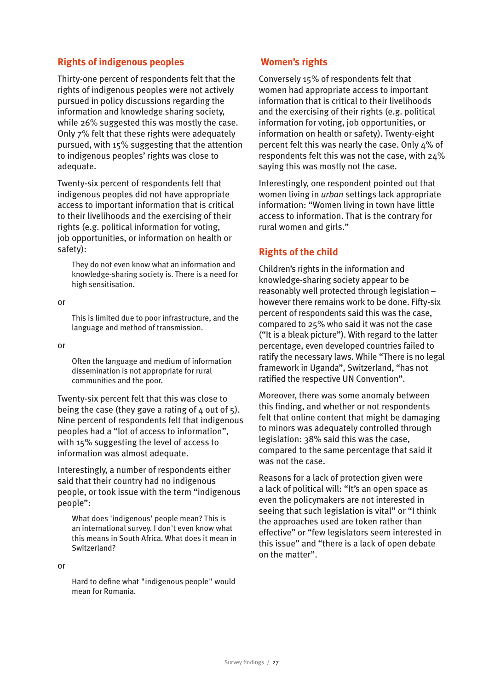#### **Rights of indigenous peoples**

Thirty-one percent of respondents felt that the rights of indigenous peoples were not actively pursued in policy discussions regarding the information and knowledge sharing society, while 26% suggested this was mostly the case. Only 7% felt that these rights were adequately pursued, with 15% suggesting that the attention to indigenous peoples' rights was close to adequate.

Twenty-six percent of respondents felt that indigenous peoples did not have appropriate access to important information that is critical to their livelihoods and the exercising of their rights (e.g. political information for voting, job opportunities, or information on health or safety):

They do not even know what an information and knowledge-sharing society is. There is a need for high sensitisation.

or

This is limited due to poor infrastructure, and the language and method of transmission.

or

Often the language and medium of information dissemination is not appropriate for rural communities and the poor.

Twenty-six percent felt that this was close to being the case (they gave a rating of  $4$  out of  $5$ ). Nine percent of respondents felt that indigenous peoples had a "lot of access to information", with 15% suggesting the level of access to information was almost adequate.

Interestingly, a number of respondents either said that their country had no indigenous people, or took issue with the term "indigenous people":

What does 'indigenous' people mean? This is an international survey. I don't even know what this means in South Africa. What does it mean in Switzerland?

or

Hard to define what "indigenous people" would mean for Romania.

#### **Women's rights**

Conversely 15% of respondents felt that women had appropriate access to important information that is critical to their livelihoods and the exercising of their rights (e.g. political information for voting, job opportunities, or information on health or safety). Twenty-eight percent felt this was nearly the case. Only 4% of respondents felt this was not the case, with 24% saying this was mostly not the case.

Interestingly, one respondent pointed out that women living in *urban* settings lack appropriate information: "Women living in town have little access to information. That is the contrary for rural women and girls."

#### **Rights of the child**

Children's rights in the information and knowledge-sharing society appear to be reasonably well protected through legislation – however there remains work to be done. Fifty-six percent of respondents said this was the case, compared to 25% who said it was not the case ("It is a bleak picture"). With regard to the latter percentage, even developed countries failed to ratify the necessary laws. While "There is no legal framework in Uganda", Switzerland, "has not ratified the respective UN Convention".

Moreover, there was some anomaly between this finding, and whether or not respondents felt that online content that might be damaging to minors was adequately controlled through legislation: 38% said this was the case, compared to the same percentage that said it was not the case.

Reasons for a lack of protection given were a lack of political will: "It's an open space as even the policymakers are not interested in seeing that such legislation is vital" or "I think the approaches used are token rather than effective" or "few legislators seem interested in this issue" and "there is a lack of open debate on the matter".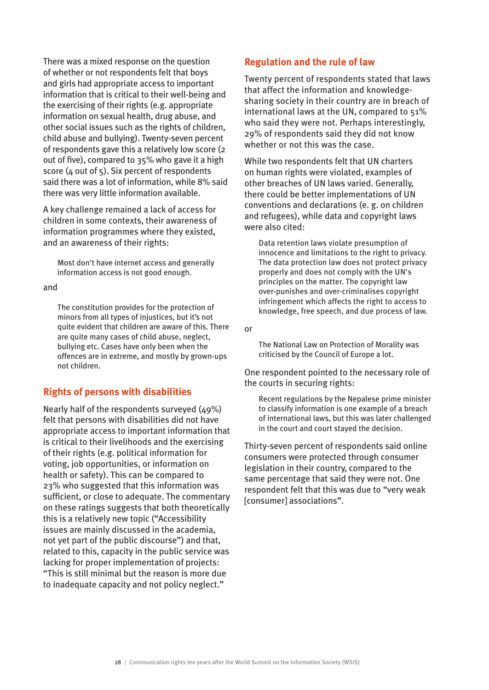There was a mixed response on the question of whether or not respondents felt that boys and girls had appropriate access to important information that is critical to their well-being and the exercising of their rights (e.g. appropriate information on sexual health, drug abuse, and other social issues such as the rights of children, child abuse and bullying). Twenty-seven percent of respondents gave this a relatively low score (2 out of five), compared to 35% who gave it a high score (4 out of 5). Six percent of respondents said there was a lot of information, while 8% said there was very little information available.

A key challenge remained a lack of access for children in some contexts, their awareness of information programmes where they existed, and an awareness of their rights:

Most don't have internet access and generally information access is not good enough.

and

The constitution provides for the protection of minors from all types of injustices, but it's not quite evident that children are aware of this. There are quite many cases of child abuse, neglect, bullying etc. Cases have only been when the offences are in extreme, and mostly by grown-ups not children.

#### **Rights of persons with disabilities**

Nearly half of the respondents surveyed (49%) felt that persons with disabilities did not have appropriate access to important information that is critical to their livelihoods and the exercising of their rights (e.g. political information for voting, job opportunities, or information on health or safety). This can be compared to 23% who suggested that this information was sufficient, or close to adequate. The commentary on these ratings suggests that both theoretically this is a relatively new topic ("Accessibility issues are mainly discussed in the academia, not yet part of the public discourse") and that, related to this, capacity in the public service was lacking for proper implementation of projects: "This is still minimal but the reason is more due to inadequate capacity and not policy neglect."

#### **Regulation and the rule of law**

Twenty percent of respondents stated that laws that affect the information and knowledgesharing society in their country are in breach of international laws at the UN, compared to 51% who said they were not. Perhaps interestingly, 29% of respondents said they did not know whether or not this was the case.

While two respondents felt that UN charters on human rights were violated, examples of other breaches of UN laws varied. Generally, there could be better implementations of UN conventions and declarations (e. g. on children and refugees), while data and copyright laws were also cited:

Data retention laws violate presumption of innocence and limitations to the right to privacy. The data protection law does not protect privacy properly and does not comply with the UN's principles on the matter. The copyright law over-punishes and over-criminalises copyright infringement which affects the right to access to knowledge, free speech, and due process of law.

or

The National Law on Protection of Morality was criticised by the Council of Europe a lot.

One respondent pointed to the necessary role of the courts in securing rights:

Recent regulations by the Nepalese prime minister to classify information is one example of a breach of international laws, but this was later challenged in the court and court stayed the decision.

Thirty-seven percent of respondents said online consumers were protected through consumer legislation in their country, compared to the same percentage that said they were not. One respondent felt that this was due to "very weak [consumer] associations".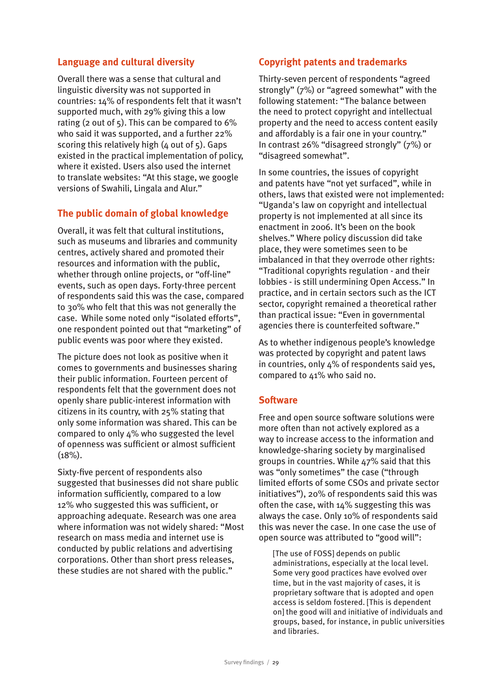#### **Language and cultural diversity**

Overall there was a sense that cultural and linguistic diversity was not supported in countries: 14% of respondents felt that it wasn't supported much, with 29% giving this a low rating (2 out of  $5$ ). This can be compared to  $6\%$ who said it was supported, and a further 22% scoring this relatively high  $(4 \text{ out of } 5)$ . Gaps existed in the practical implementation of policy, where it existed. Users also used the internet to translate websites: "At this stage, we google versions of Swahili, Lingala and Alur."

#### **The public domain of global knowledge**

Overall, it was felt that cultural institutions, such as museums and libraries and community centres, actively shared and promoted their resources and information with the public, whether through online projects, or "off-line" events, such as open days. Forty-three percent of respondents said this was the case, compared to 30% who felt that this was not generally the case. While some noted only "isolated efforts", one respondent pointed out that "marketing" of public events was poor where they existed.

The picture does not look as positive when it comes to governments and businesses sharing their public information. Fourteen percent of respondents felt that the government does not openly share public-interest information with citizens in its country, with 25% stating that only some information was shared. This can be compared to only 4% who suggested the level of openness was sufficient or almost sufficient  $(18\%)$ .

Sixty-five percent of respondents also suggested that businesses did not share public information sufficiently, compared to a low 12% who suggested this was sufficient, or approaching adequate. Research was one area where information was not widely shared: "Most research on mass media and internet use is conducted by public relations and advertising corporations. Other than short press releases, these studies are not shared with the public."

#### **Copyright patents and trademarks**

Thirty-seven percent of respondents "agreed strongly" (7%) or "agreed somewhat" with the following statement: "The balance between the need to protect copyright and intellectual property and the need to access content easily and affordably is a fair one in your country." In contrast 26% "disagreed strongly" (7%) or "disagreed somewhat".

In some countries, the issues of copyright and patents have "not yet surfaced", while in others, laws that existed were not implemented: "Uganda's law on copyright and intellectual property is not implemented at all since its enactment in 2006. It's been on the book shelves." Where policy discussion did take place, they were sometimes seen to be imbalanced in that they overrode other rights: "Traditional copyrights regulation - and their lobbies - is still undermining Open Access." In practice, and in certain sectors such as the ICT sector, copyright remained a theoretical rather than practical issue: "Even in governmental agencies there is counterfeited software."

As to whether indigenous people's knowledge was protected by copyright and patent laws in countries, only 4% of respondents said yes, compared to 41% who said no.

#### **Software**

Free and open source software solutions were more often than not actively explored as a way to increase access to the information and knowledge-sharing society by marginalised groups in countries. While 47% said that this was "only sometimes" the case ("through limited efforts of some CSOs and private sector initiatives"), 20% of respondents said this was often the case, with 14% suggesting this was always the case. Only 10% of respondents said this was never the case. In one case the use of open source was attributed to "good will":

[The use of FOSS] depends on public administrations, especially at the local level. Some very good practices have evolved over time, but in the vast majority of cases, it is proprietary software that is adopted and open access is seldom fostered. [This is dependent on] the good will and initiative of individuals and groups, based, for instance, in public universities and libraries.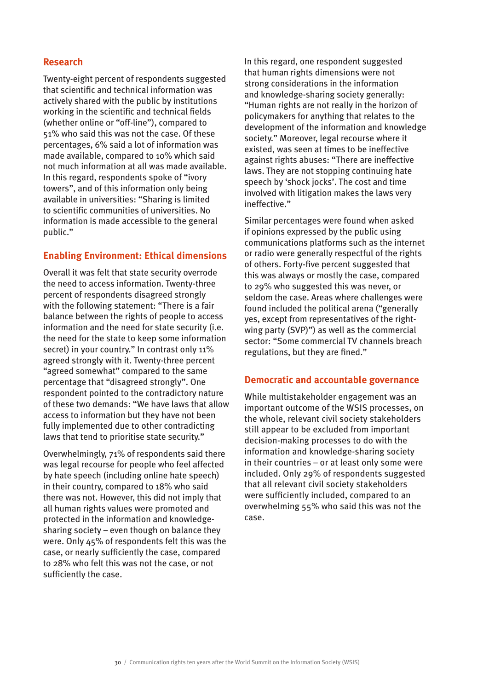#### **Research**

Twenty-eight percent of respondents suggested that scientific and technical information was actively shared with the public by institutions working in the scientific and technical fields (whether online or "off-line"), compared to 51% who said this was not the case. Of these percentages, 6% said a lot of information was made available, compared to 10% which said not much information at all was made available. In this regard, respondents spoke of "ivory towers", and of this information only being available in universities: "Sharing is limited to scientific communities of universities. No information is made accessible to the general public."

#### **Enabling Environment: Ethical dimensions**

Overall it was felt that state security overrode the need to access information. Twenty-three percent of respondents disagreed strongly with the following statement: "There is a fair balance between the rights of people to access information and the need for state security (i.e. the need for the state to keep some information secret) in your country." In contrast only 11% agreed strongly with it. Twenty-three percent "agreed somewhat" compared to the same percentage that "disagreed strongly". One respondent pointed to the contradictory nature of these two demands: "We have laws that allow access to information but they have not been fully implemented due to other contradicting laws that tend to prioritise state security."

Overwhelmingly, 71% of respondents said there was legal recourse for people who feel affected by hate speech (including online hate speech) in their country, compared to 18% who said there was not. However, this did not imply that all human rights values were promoted and protected in the information and knowledgesharing society – even though on balance they were. Only 45% of respondents felt this was the case, or nearly sufficiently the case, compared to 28% who felt this was not the case, or not sufficiently the case.

In this regard, one respondent suggested that human rights dimensions were not strong considerations in the information and knowledge-sharing society generally: "Human rights are not really in the horizon of policymakers for anything that relates to the development of the information and knowledge society." Moreover, legal recourse where it existed, was seen at times to be ineffective against rights abuses: "There are ineffective laws. They are not stopping continuing hate speech by 'shock jocks'. The cost and time involved with litigation makes the laws very ineffective."

Similar percentages were found when asked if opinions expressed by the public using communications platforms such as the internet or radio were generally respectful of the rights of others. Forty-five percent suggested that this was always or mostly the case, compared to 29% who suggested this was never, or seldom the case. Areas where challenges were found included the political arena ("generally yes, except from representatives of the rightwing party (SVP)") as well as the commercial sector: "Some commercial TV channels breach regulations, but they are fined."

#### **Democratic and accountable governance**

While multistakeholder engagement was an important outcome of the WSIS processes, on the whole, relevant civil society stakeholders still appear to be excluded from important decision-making processes to do with the information and knowledge-sharing society in their countries – or at least only some were included. Only 29% of respondents suggested that all relevant civil society stakeholders were sufficiently included, compared to an overwhelming 55% who said this was not the case.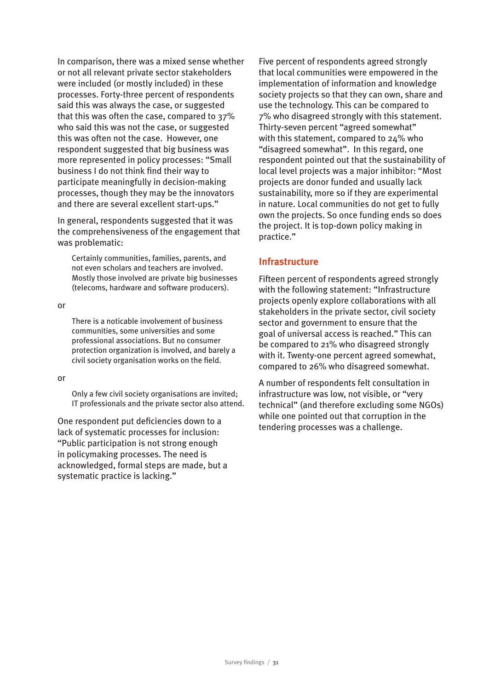In comparison, there was a mixed sense whether or not all relevant private sector stakeholders were included (or mostly included) in these processes. Forty-three percent of respondents said this was always the case, or suggested that this was often the case, compared to 37% who said this was not the case, or suggested this was often not the case. However, one respondent suggested that big business was more represented in policy processes: "Small business I do not think find their way to participate meaningfully in decision-making processes, though they may be the innovators and there are several excellent start-ups."

In general, respondents suggested that it was the comprehensiveness of the engagement that was problematic:

Certainly communities, families, parents, and not even scholars and teachers are involved. Mostly those involved are private big businesses (telecoms, hardware and software producers).

or

There is a noticable involvement of business communities, some universities and some professional associations. But no consumer protection organization is involved, and barely a civil society organisation works on the field.

or

Only a few civil society organisations are invited; IT professionals and the private sector also attend.

One respondent put deficiencies down to a lack of systematic processes for inclusion: "Public participation is not strong enough in policymaking processes. The need is acknowledged, formal steps are made, but a systematic practice is lacking."

Five percent of respondents agreed strongly that local communities were empowered in the implementation of information and knowledge society projects so that they can own, share and use the technology. This can be compared to 7% who disagreed strongly with this statement. Thirty-seven percent "agreed somewhat" with this statement, compared to 24% who "disagreed somewhat". In this regard, one respondent pointed out that the sustainability of local level projects was a major inhibitor: "Most projects are donor funded and usually lack sustainability, more so if they are experimental in nature. Local communities do not get to fully own the projects. So once funding ends so does the project. It is top-down policy making in practice."

#### **Infrastructure**

Fifteen percent of respondents agreed strongly with the following statement: "Infrastructure projects openly explore collaborations with all stakeholders in the private sector, civil society sector and government to ensure that the goal of universal access is reached." This can be compared to 21% who disagreed strongly with it. Twenty-one percent agreed somewhat, compared to 26% who disagreed somewhat.

A number of respondents felt consultation in infrastructure was low, not visible, or "very technical" (and therefore excluding some NGOs) while one pointed out that corruption in the tendering processes was a challenge.